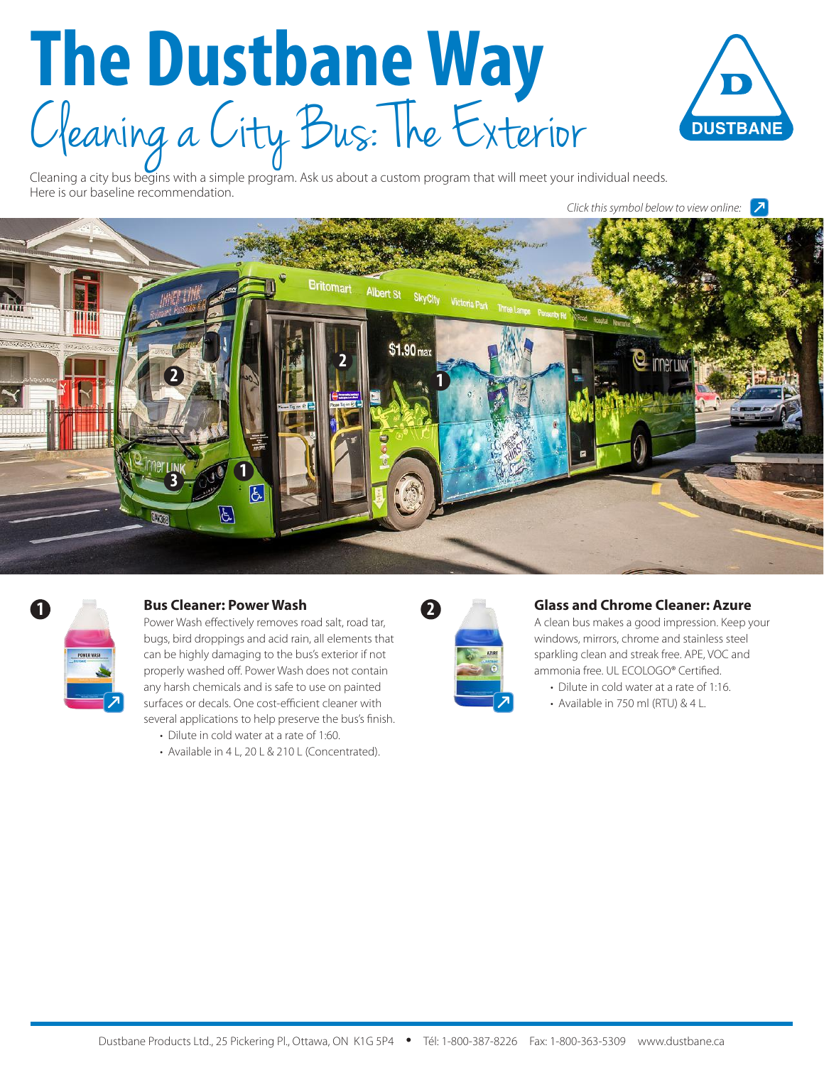# **The Dustbane Way** C leaning a City Bus: The Exterior



Cleaning a city bus begins with a simple program. Ask us about a custom program that will meet your individual needs. Here is our baseline recommendation.

*Click this symbol below to view online:*





# **1 Bus Cleaner: Power Wash**

Power Wash effectively removes road salt, road tar, bugs, bird droppings and acid rain, all elements that can be highly damaging to the bus's exterior if not properly washed off. Power Wash does not contain any harsh chemicals and is safe to use on painted surfaces or decals. One cost-efficient cleaner with several applications to help preserve the bus's finish.

- Dilute in cold water at a rate of 1:60.
- Available in 4 L, 20 L & 210 L (Concentrated).



#### **Glass and Chrome Cleaner: Azure**

A clean bus makes a good impression. Keep your windows, mirrors, chrome and stainless steel sparkling clean and streak free. APE, VOC and ammonia free. UL ECOLOGO® Certified.

- Dilute in cold water at a rate of 1:16.
- Available in 750 ml (RTU) & 4 L.